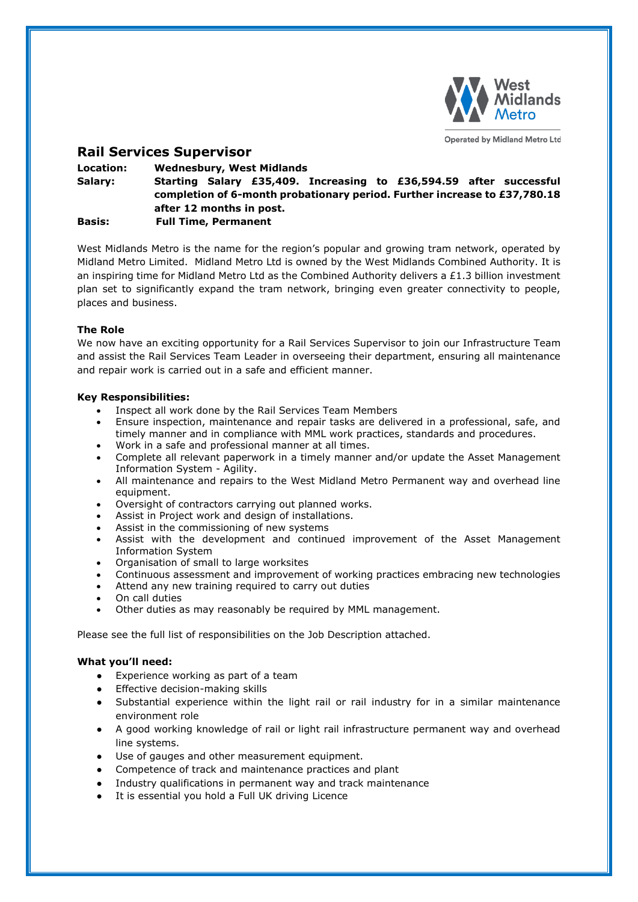

**Operated by Midland Metro Ltd** 

# **Rail Services Supervisor**

**Location: Wednesbury, West Midlands Salary: Starting Salary £35,409. Increasing to £36,594.59 after successful completion of 6-month probationary period. Further increase to £37,780.18 after 12 months in post. Basis: Full Time, Permanent**

West Midlands Metro is the name for the region's popular and growing tram network, operated by Midland Metro Limited. Midland Metro Ltd is owned by the West Midlands Combined Authority. It is an inspiring time for Midland Metro Ltd as the Combined Authority delivers a £1.3 billion investment plan set to significantly expand the tram network, bringing even greater connectivity to people, places and business.

## **The Role**

We now have an exciting opportunity for a Rail Services Supervisor to join our Infrastructure Team and assist the Rail Services Team Leader in overseeing their department, ensuring all maintenance and repair work is carried out in a safe and efficient manner.

## **Key Responsibilities:**

- Inspect all work done by the Rail Services Team Members
- Ensure inspection, maintenance and repair tasks are delivered in a professional, safe, and timely manner and in compliance with MML work practices, standards and procedures.
- Work in a safe and professional manner at all times.
- Complete all relevant paperwork in a timely manner and/or update the Asset Management Information System - Agility.
- All maintenance and repairs to the West Midland Metro Permanent way and overhead line equipment.
- Oversight of contractors carrying out planned works.
- Assist in Project work and design of installations.
- Assist in the commissioning of new systems
- Assist with the development and continued improvement of the Asset Management Information System
- Organisation of small to large worksites
- Continuous assessment and improvement of working practices embracing new technologies
- Attend any new training required to carry out duties
- On call duties
- Other duties as may reasonably be required by MML management.

Please see the full list of responsibilities on the Job Description attached.

#### **What you'll need:**

- Experience working as part of a team
- Effective decision-making skills
- Substantial experience within the light rail or rail industry for in a similar maintenance environment role
- A good working knowledge of rail or light rail infrastructure permanent way and overhead line systems.
- Use of gauges and other measurement equipment.
- Competence of track and maintenance practices and plant
- Industry qualifications in permanent way and track maintenance
- It is essential you hold a Full UK driving Licence